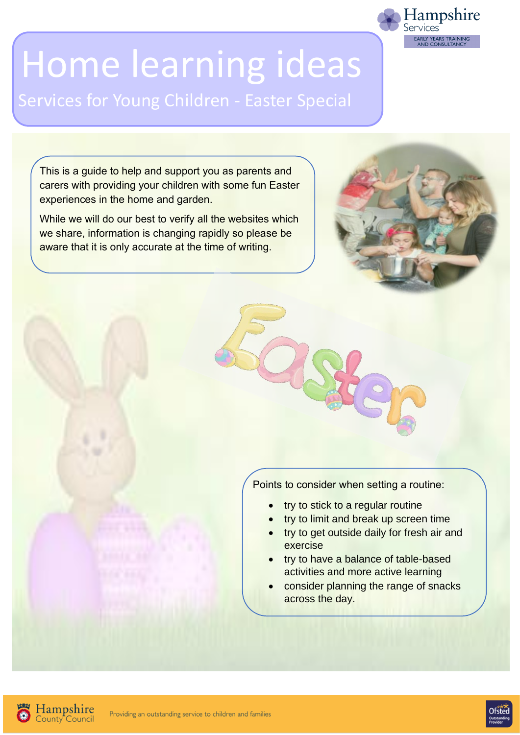# Home learning ideas

Services for Young Children - Easter Special

This is a guide to help and support you as parents and carers with providing your children with some fun Easter experiences in the home and garden.

While we will do our best to verify all the websites which we share, information is changing rapidly so please be aware that it is only accurate at the time of writing.



Hampshire<br>Services

LY YEARS TRAINING

Points to consider when setting a routine:

- try to stick to a regular routine
- try to limit and break up screen time
- try to get outside daily for fresh air and exercise
- try to have a balance of table-based activities and more active learning
- consider planning the range of snacks across the day.



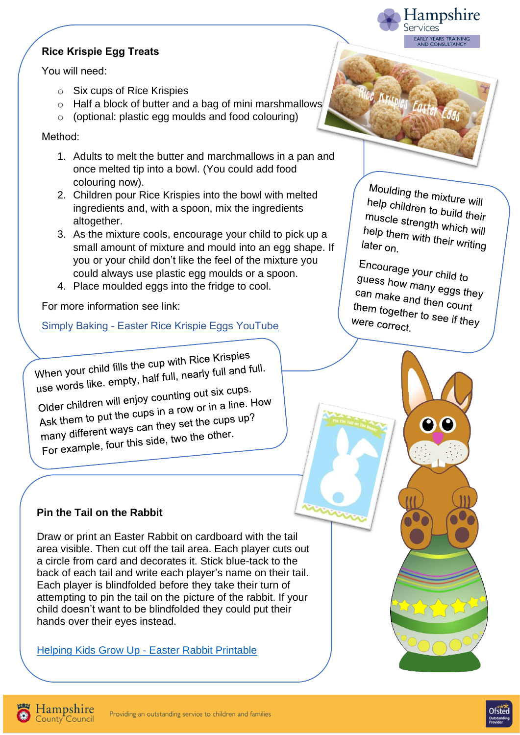## **Rice Krispie Egg Treats**

You will need:

- o Six cups of Rice Krispies
- o Half a block of butter and a bag of mini marshmallows
- o (optional: plastic egg moulds and food colouring)

Method:

- 1. Adults to melt the butter and marchmallows in a pan and once melted tip into a bowl. (You could add food colouring now).
- 2. Children pour Rice Krispies into the bowl with melted ingredients and, with a spoon, mix the ingredients altogether.
- 3. As the mixture cools, encourage your child to pick up a small amount of mixture and mould into an egg shape. If you or your child don't like the feel of the mixture you could always use plastic egg moulds or a spoon.
- 4. Place moulded eggs into the fridge to cool.

For more information see link:

Simply Baking - [Easter Rice Krispie Eggs YouTube](https://www.youtube.com/watch?v=sX_dnRjTz_0)

When your child fills the cup with Rice Krispies<br>when your child fills the cup with Rice Krispies When your child fills the cup with RICE Ruspies.<br>use words like. empty, half full, nearly full and full.

use words like. empty, han ready<br>Older children will enjoy counting out six cups.<br>Older children wit the cups in a row or in a line. Older children will enjoy counting our six cape.<br>Ask them to put the cups in a row or in a line. How<br>Ask them to put the cups in they set the cups up? Ask them to put the cups in a row or more<br>many different ways can they set the cups up?<br>many different ways can they set the other. many different ways can they set the city<br>For example, four this side, two the other.

#### **Pin the Tail on the Rabbit**

Draw or print an Easter Rabbit on cardboard with the tail area visible. Then cut off the tail area. Each player cuts out a circle from card and decorates it. Stick blue-tack to the back of each tail and write each player's name on their tail. Each player is blindfolded before they take their turn of attempting to pin the tail on the picture of the rabbit. If your child doesn't want to be blindfolded they could put their hands over their eyes instead.

Helping Kids Grow Up - [Easter Rabbit Printable](http://helpingkidsgrowup.blogspot.com/2015/03/pin-tail-on-easter-bunny-printable.html) 

Moulding the mixture will<br>help children to Luis help children to build their<br>muscle strepath muscle strength which will<br>help them with their<br>help them with their help them with their which<br>later on later on.

Hampshire

**EARLY YEARS TRAINING** 

services

C Krispies Easter Eggs

Encourage your child to guess how many eggs they<br>can make and there can make and then count<br>them togethers from count them together to see if they<br>were correct were correct.



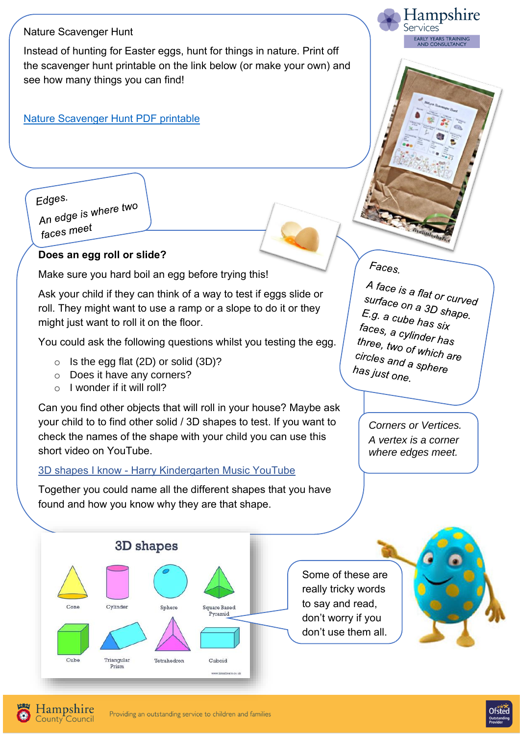#### Nature Scavenger Hunt

Instead of hunting for Easter eggs, hunt for things in nature. Print off the scavenger hunt printable on the link below (or make your own) and see how many things you can find!

#### [Nature Scavenger Hunt PDF printable](http://34.230.84.94/wp-content/uploads/2013/06/Nature-Scavenger-Hunt.pdf)

Edges.

Edges.<br>An edge is where two faces meet

#### **Does an egg roll or slide?**

Make sure you hard boil an egg before trying this!

Ask your child if they can think of a way to test if eggs slide or roll. They might want to use a ramp or a slope to do it or they might just want to roll it on the floor.

You could ask the following questions whilst you testing the egg.

- $\circ$  Is the egg flat (2D) or solid (3D)?
- o Does it have any corners?
- $\circ$  I wonder if it will roll?

Can you find other objects that will roll in your house? Maybe ask your child to to find other solid / 3D shapes to test. If you want to check the names of the shape with your child you can use this short video on YouTube.

#### 3D shapes I know - [Harry Kindergarten Music YouTube](https://www.youtube.com/watch?v=2cg-Uc556-Q)

Together you could name all the different shapes that you have found and how you know why they are that shape.

 $F_{\text{aCES}}$ 

A face is a flat or curved<br>surface on a 3D surface on a 3D shape.<br>E.g. a cube bos E.g. a cube has six<br>faces a cube has six faces, a cylinder has<br>three, two efficient has three, two of which are<br>circles and a serient are *circles* and a sphere<br>has just one has just one.

Hampshire

EARLY YEARS TRAINING<br>AND CONSULTANCY

Services

*Corners or Vertices. A vertex is a corner where edges meet.*